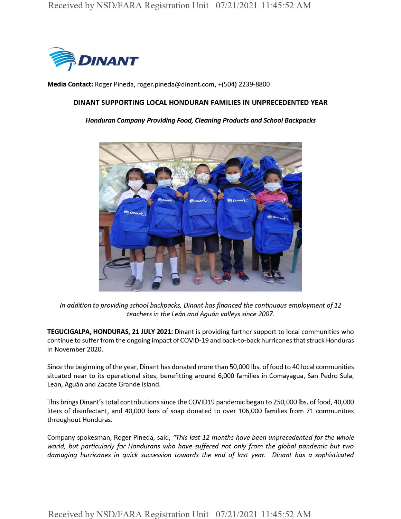

**Media Contact:** Roger Pineda, roger.pineda@dinant.com, +(504) 2239-8800

### **DINANT SUPPORTING LOCAL HONDURAN FAMILIES IN UNPRECEDENTED YEAR**

### *Honduran Company Providing Food, Cleaning Products and School Backpacks*



*In addition to providing school backpacks, Dinant hasfinanced the continuous employment of12 teachers in the Lean and Aguan valleys since 2007.*

**TEGUCIGALPA, HONDURAS, 21 JULY 2021:** Dinant is providing further support to local communities who continue to suffer from the ongoing impact of COVID-19 and back-to-back hurricanes that struck Honduras in November 2020.

Since the beginning ofthe year, Dinant has donated more than 50,000 lbs. offood to 40 local communities situated near to its operational sites, benefitting around 6,000 families in Comayagua, San Pedro Sula, Lean, Aguán and Zacate Grande Island.

This brings Dinant's total contributions since the COVID19 pandemic began to 250,000 lbs. of food, 40,000 liters of disinfectant, and 40,000 bars of soap donated to over 106,000 families from 71 communities throughout Honduras.

Company spokesman, Roger Pineda, said, *"This last 12 months have been unprecedented for the whole world, but particularly for Hondurans who have suffered not only from the global pandemic but two damaging hurricanes in quick succession towards the end of last year. Dinant has a sophisticated*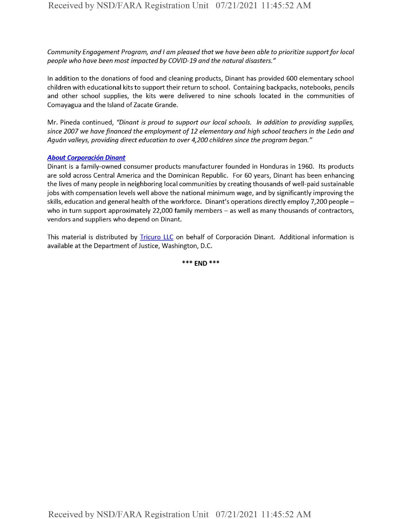*Community Engagement Program, and I am pleased that we have been able to prioritize supportfor local people who have been most impacted by COVID-19 and the natural disasters."*

In addition to the donations of food and cleaning products, Dinant has provided 600 elementary school children with educational kits to support their return to school. Containing backpacks, notebooks, pencils and other school supplies, the kits were delivered to nine schools located in the communities of Comayagua and the Island of Zacate Grande.

Mr. Pineda continued, *"Dinant is proud to support our local schools. In addition to providing supplies, since 2007 we havefinanced the employment of 12 elementary and high school teachers in the Lean and Aguan valleys, providing direct education to over 4,200 children since the program began."*

## *About Corporacion Dinant*

Dinant is a family-owned consumer products manufacturer founded in Honduras in 1960. Its products are sold across Central America and the Dominican Republic. For 60 years, Dinant has been enhancing the lives of many people in neighboring local communities by creating thousands of well-paid sustainable jobs with compensation levels well above the national minimum wage, and by significantly improving the skills, education and general health of the workforce. Dinant's operations directly employ 7,200 people who in turn support approximately 22,000 family members - as well as many thousands of contractors, vendors and suppliers who depend on Dinant.

This material is distributed by Tricuro LLC on behalf of Corporación Dinant. Additional information is available at the Department of Justice, Washington, D.C.

**\*\*\* END \*\*\***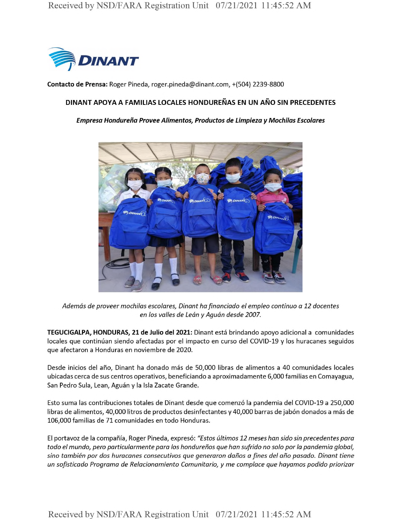

**Contacto de Prensa:** Roger Pineda, roger.pineda@dinant.com, +(504) 2239-8800

# **DlNANT APOYA A FAMILIAS LOCALES HONDURENAS EN UN ANO SIN PRECEDENTES**

### *Empresa Hondureha Provee Alimentos, Productos de Limpieza y Mochilas Escolares*



*Ademas de proveer mochilas escolares, Dinant hafinanciado el empleo continuo a 12 docentes en los valles de Lean y Aguan desde 2007.*

**TEGUCIGALPA, HONDURAS, 21 de Julio del 2021:** Dinant esta brindando apoyo adicional a comunidades locales que continúan siendo afectadas por el impacto en curso del COVID-19 y los huracanes seguidos que afectaron a Honduras en noviembre de 2020.

Desde inicios del año, Dinant ha donado más de 50,000 libras de alimentos a 40 comunidades locales ubicadas cerca de sus centros operativos, beneficiando a aproximadamente 6,000 familias en Comayagua, San Pedro Sula, Lean, Aguán y la Isla Zacate Grande.

Esto suma las contribuciones totales de Dinant desde que comenzo la pandemia del COVID-19 a 250,000 libras de alimentos, 40,000 litros de productos desinfectantes y 40,000 barras de jabón donados a más de 106,000 familias de 71 comunidades en todo Honduras.

El portavoz de la compama, Roger Pineda, expreso: *"Estos ultimos 12 meses han sido sin precedentes para todo el mundo, pern particularmente para los hondurehos que han sufrido no solo por la pandemia global, sino tambien por dos huracanes consecutivos que generaron dahos a fines del ano pasado. Dinant tiene un sofisticado Programa de Relacionamiento Comunitario, y me complace que hayamos podido priorizar*